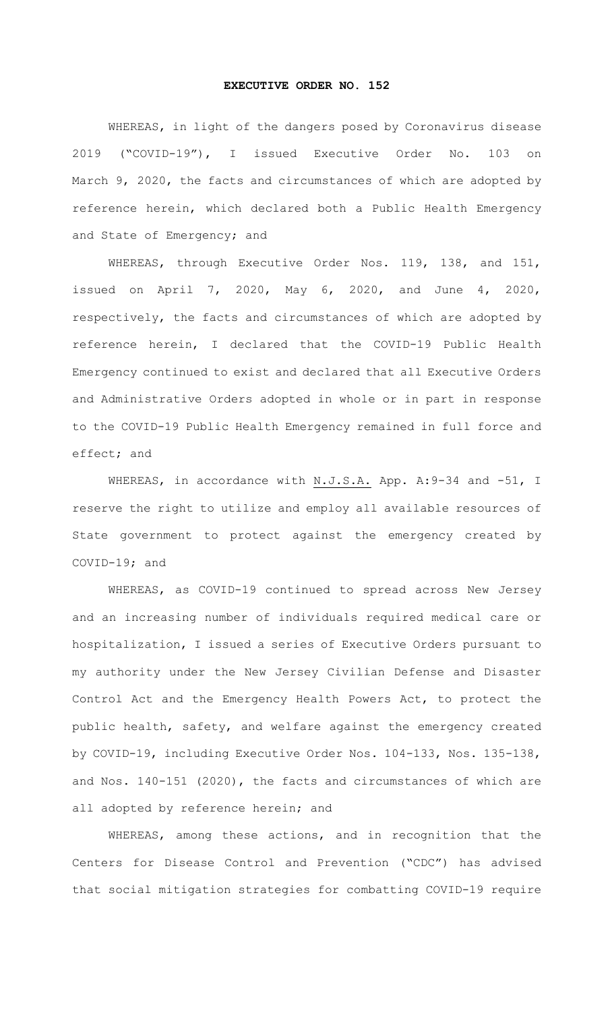## **EXECUTIVE ORDER NO. 152**

WHEREAS, in light of the dangers posed by Coronavirus disease 2019 ("COVID-19"), I issued Executive Order No. 103 on March 9, 2020, the facts and circumstances of which are adopted by reference herein, which declared both a Public Health Emergency and State of Emergency; and

WHEREAS, through Executive Order Nos. 119, 138, and 151, issued on April 7, 2020, May 6, 2020, and June 4, 2020, respectively, the facts and circumstances of which are adopted by reference herein, I declared that the COVID-19 Public Health Emergency continued to exist and declared that all Executive Orders and Administrative Orders adopted in whole or in part in response to the COVID-19 Public Health Emergency remained in full force and effect; and

WHEREAS, in accordance with N.J.S.A. App. A: 9-34 and -51, I reserve the right to utilize and employ all available resources of State government to protect against the emergency created by COVID-19; and

WHEREAS, as COVID-19 continued to spread across New Jersey and an increasing number of individuals required medical care or hospitalization, I issued a series of Executive Orders pursuant to my authority under the New Jersey Civilian Defense and Disaster Control Act and the Emergency Health Powers Act, to protect the public health, safety, and welfare against the emergency created by COVID-19, including Executive Order Nos. 104-133, Nos. 135-138, and Nos. 140-151 (2020), the facts and circumstances of which are all adopted by reference herein; and

WHEREAS, among these actions, and in recognition that the Centers for Disease Control and Prevention ("CDC") has advised that social mitigation strategies for combatting COVID-19 require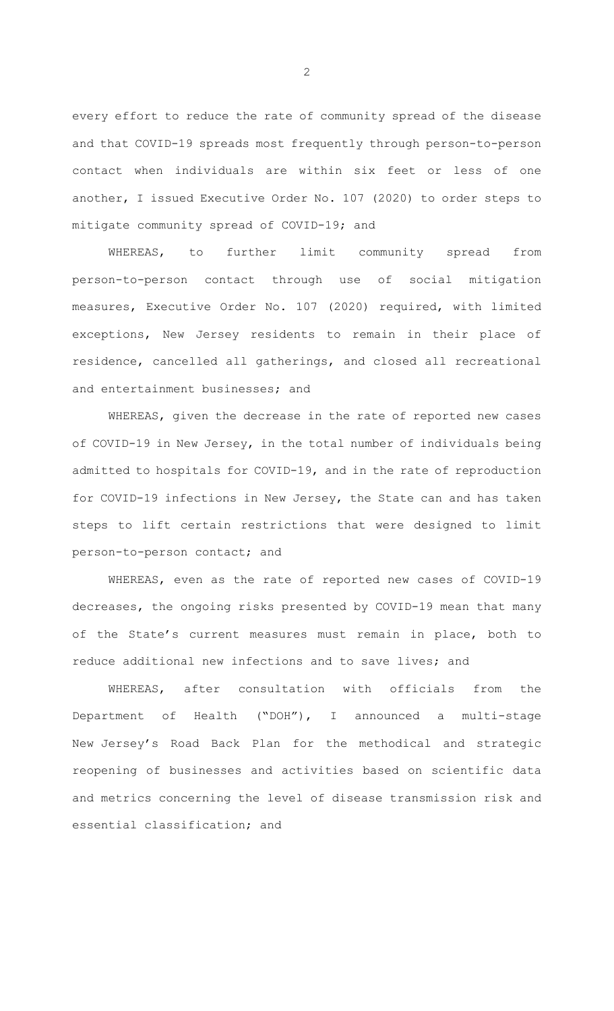every effort to reduce the rate of community spread of the disease and that COVID-19 spreads most frequently through person-to-person contact when individuals are within six feet or less of one another, I issued Executive Order No. 107 (2020) to order steps to mitigate community spread of COVID-19; and

WHEREAS, to further limit community spread from person-to-person contact through use of social mitigation measures, Executive Order No. 107 (2020) required, with limited exceptions, New Jersey residents to remain in their place of residence, cancelled all gatherings, and closed all recreational and entertainment businesses; and

WHEREAS, given the decrease in the rate of reported new cases of COVID-19 in New Jersey, in the total number of individuals being admitted to hospitals for COVID-19, and in the rate of reproduction for COVID-19 infections in New Jersey, the State can and has taken steps to lift certain restrictions that were designed to limit person-to-person contact; and

WHEREAS, even as the rate of reported new cases of COVID-19 decreases, the ongoing risks presented by COVID-19 mean that many of the State's current measures must remain in place, both to reduce additional new infections and to save lives; and

WHEREAS, after consultation with officials from the Department of Health ("DOH"), I announced a multi-stage New Jersey's Road Back Plan for the methodical and strategic reopening of businesses and activities based on scientific data and metrics concerning the level of disease transmission risk and essential classification; and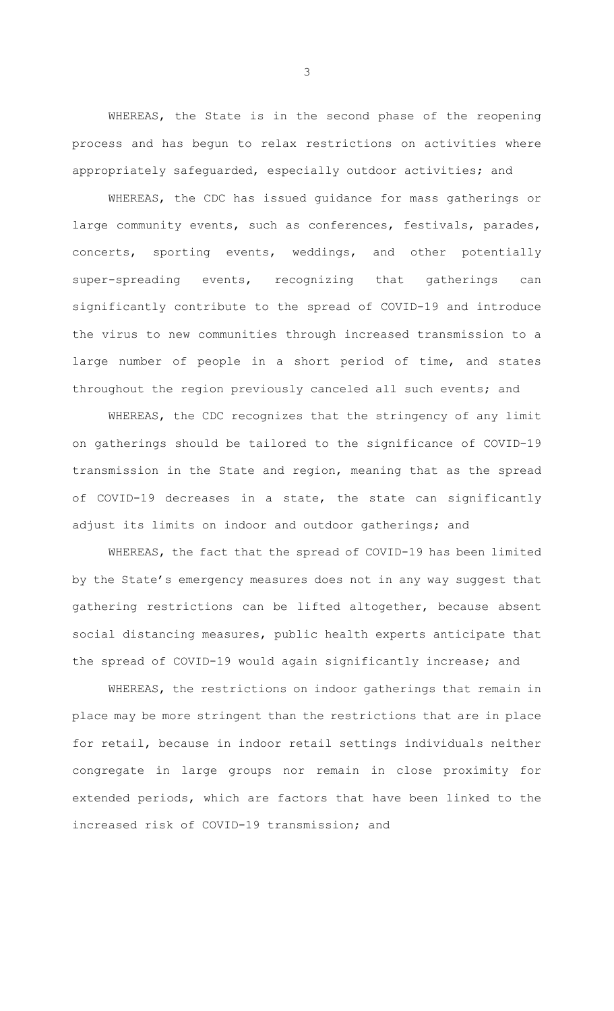WHEREAS, the State is in the second phase of the reopening process and has begun to relax restrictions on activities where appropriately safeguarded, especially outdoor activities; and

WHEREAS, the CDC has issued guidance for mass gatherings or large community events, such as conferences, festivals, parades, concerts, sporting events, weddings, and other potentially super-spreading events, recognizing that gatherings can significantly contribute to the spread of COVID-19 and introduce the virus to new communities through increased transmission to a large number of people in a short period of time, and states throughout the region previously canceled all such events; and

WHEREAS, the CDC recognizes that the stringency of any limit on gatherings should be tailored to the significance of COVID-19 transmission in the State and region, meaning that as the spread of COVID-19 decreases in a state, the state can significantly adjust its limits on indoor and outdoor gatherings; and

WHEREAS, the fact that the spread of COVID-19 has been limited by the State's emergency measures does not in any way suggest that gathering restrictions can be lifted altogether, because absent social distancing measures, public health experts anticipate that the spread of COVID-19 would again significantly increase; and

WHEREAS, the restrictions on indoor gatherings that remain in place may be more stringent than the restrictions that are in place for retail, because in indoor retail settings individuals neither congregate in large groups nor remain in close proximity for extended periods, which are factors that have been linked to the increased risk of COVID-19 transmission; and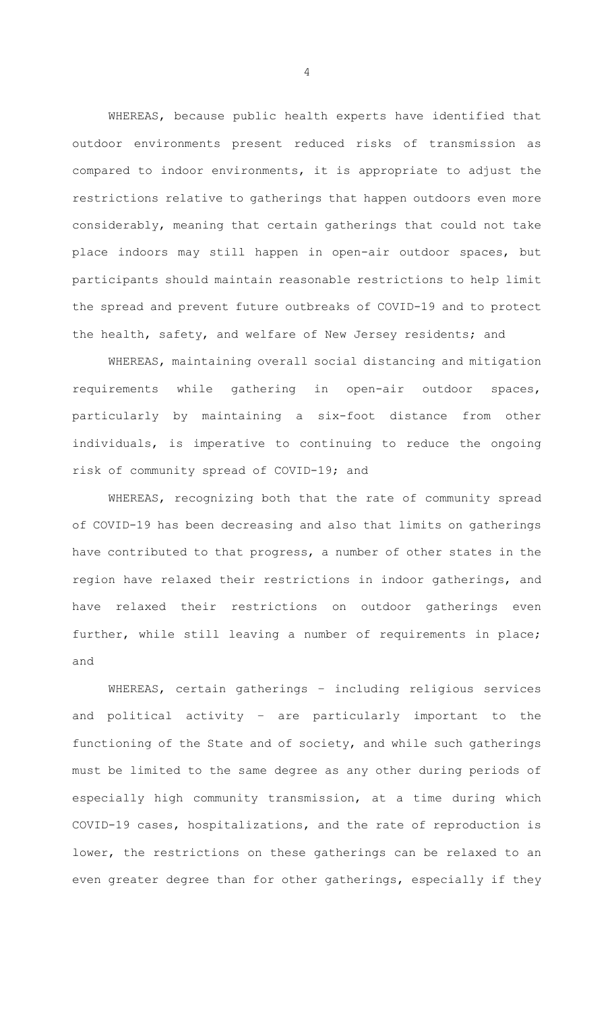WHEREAS, because public health experts have identified that outdoor environments present reduced risks of transmission as compared to indoor environments, it is appropriate to adjust the restrictions relative to gatherings that happen outdoors even more considerably, meaning that certain gatherings that could not take place indoors may still happen in open-air outdoor spaces, but participants should maintain reasonable restrictions to help limit the spread and prevent future outbreaks of COVID-19 and to protect the health, safety, and welfare of New Jersey residents; and

WHEREAS, maintaining overall social distancing and mitigation requirements while gathering in open-air outdoor spaces, particularly by maintaining a six-foot distance from other individuals, is imperative to continuing to reduce the ongoing risk of community spread of COVID-19; and

WHEREAS, recognizing both that the rate of community spread of COVID-19 has been decreasing and also that limits on gatherings have contributed to that progress, a number of other states in the region have relaxed their restrictions in indoor gatherings, and have relaxed their restrictions on outdoor gatherings even further, while still leaving a number of requirements in place; and

WHEREAS, certain gatherings – including religious services and political activity – are particularly important to the functioning of the State and of society, and while such gatherings must be limited to the same degree as any other during periods of especially high community transmission, at a time during which COVID-19 cases, hospitalizations, and the rate of reproduction is lower, the restrictions on these gatherings can be relaxed to an even greater degree than for other gatherings, especially if they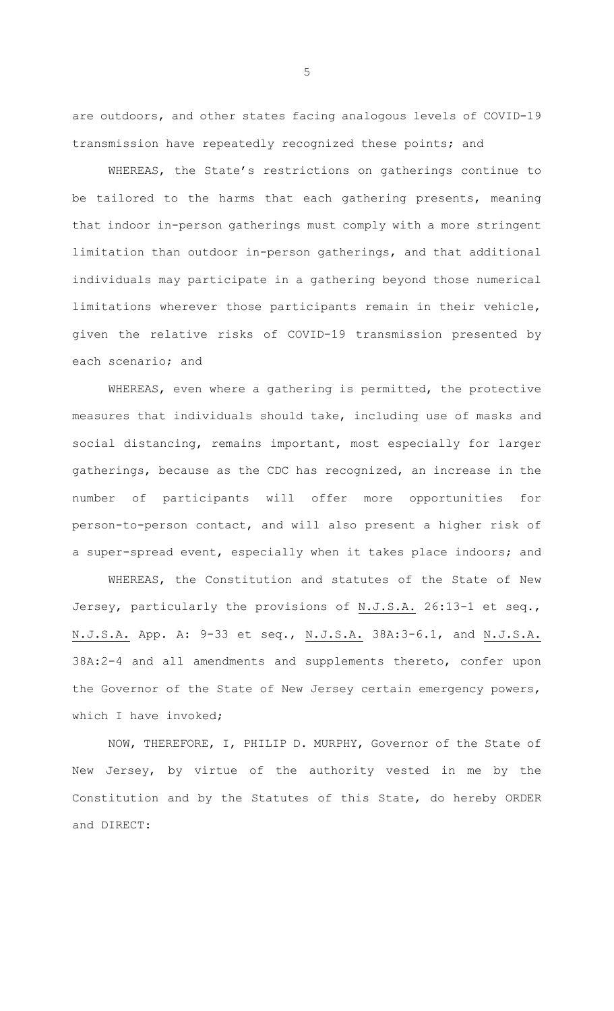are outdoors, and other states facing analogous levels of COVID-19 transmission have repeatedly recognized these points; and

WHEREAS, the State's restrictions on gatherings continue to be tailored to the harms that each gathering presents, meaning that indoor in-person gatherings must comply with a more stringent limitation than outdoor in-person gatherings, and that additional individuals may participate in a gathering beyond those numerical limitations wherever those participants remain in their vehicle, given the relative risks of COVID-19 transmission presented by each scenario; and

WHEREAS, even where a gathering is permitted, the protective measures that individuals should take, including use of masks and social distancing, remains important, most especially for larger gatherings, because as the CDC has recognized, an increase in the number of participants will offer more opportunities for person-to-person contact, and will also present a higher risk of a super-spread event, especially when it takes place indoors; and

WHEREAS, the Constitution and statutes of the State of New Jersey, particularly the provisions of N.J.S.A. 26:13-1 et seq., N.J.S.A. App. A: 9-33 et seq., N.J.S.A. 38A:3-6.1, and N.J.S.A. 38A:2-4 and all amendments and supplements thereto, confer upon the Governor of the State of New Jersey certain emergency powers, which I have invoked;

NOW, THEREFORE, I, PHILIP D. MURPHY, Governor of the State of New Jersey, by virtue of the authority vested in me by the Constitution and by the Statutes of this State, do hereby ORDER and DIRECT: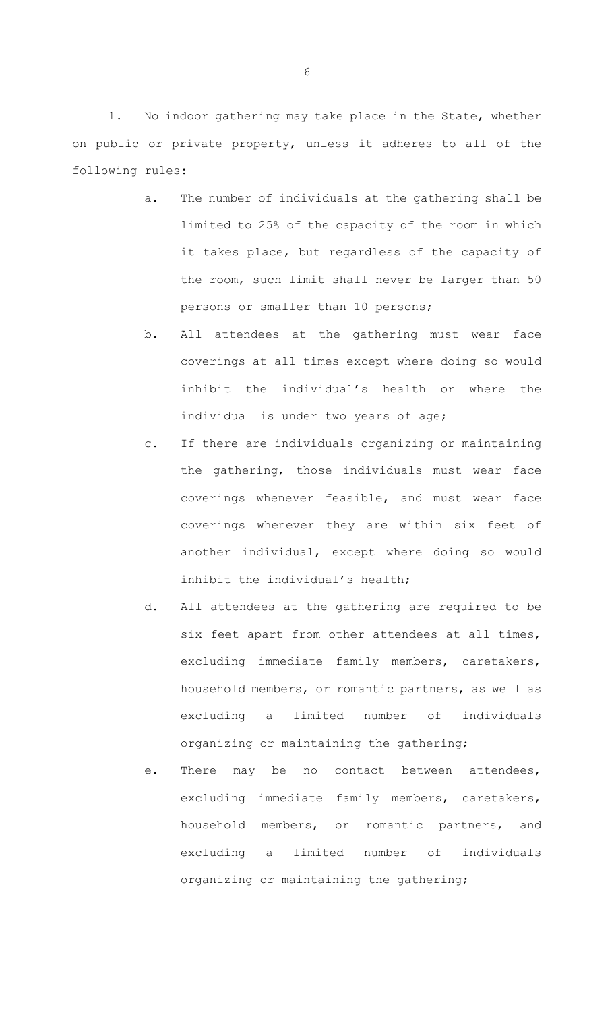1. No indoor gathering may take place in the State, whether on public or private property, unless it adheres to all of the following rules:

- a. The number of individuals at the gathering shall be limited to 25% of the capacity of the room in which it takes place, but regardless of the capacity of the room, such limit shall never be larger than 50 persons or smaller than 10 persons;
- b. All attendees at the gathering must wear face coverings at all times except where doing so would inhibit the individual's health or where the individual is under two years of age;
- c. If there are individuals organizing or maintaining the gathering, those individuals must wear face coverings whenever feasible, and must wear face coverings whenever they are within six feet of another individual, except where doing so would inhibit the individual's health;
- d. All attendees at the gathering are required to be six feet apart from other attendees at all times, excluding immediate family members, caretakers, household members, or romantic partners, as well as excluding a limited number of individuals organizing or maintaining the gathering;
- e. There may be no contact between attendees, excluding immediate family members, caretakers, household members, or romantic partners, and excluding a limited number of individuals organizing or maintaining the gathering;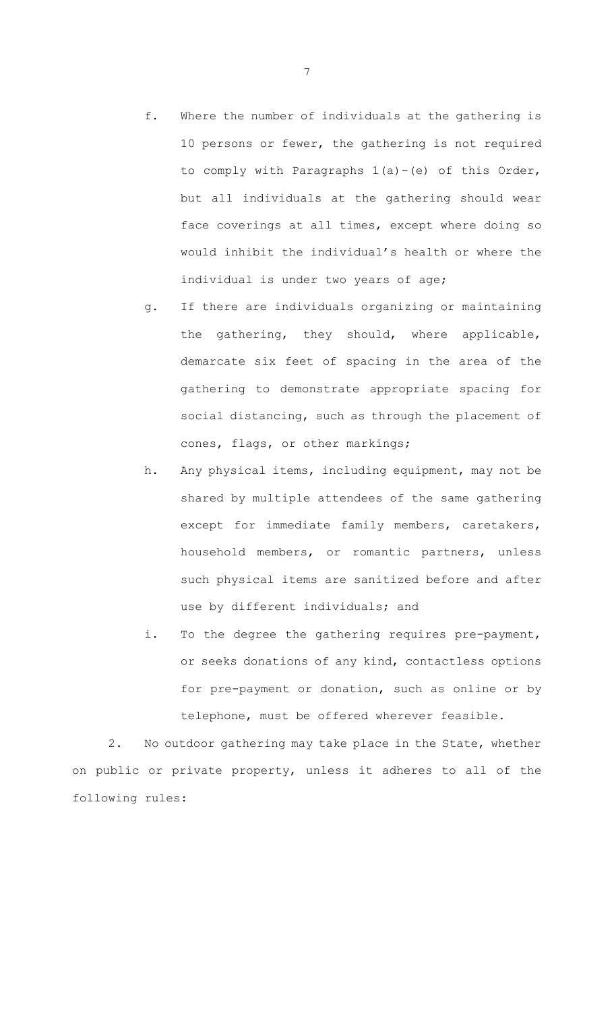- f. Where the number of individuals at the gathering is 10 persons or fewer, the gathering is not required to comply with Paragraphs 1(a)-(e) of this Order, but all individuals at the gathering should wear face coverings at all times, except where doing so would inhibit the individual's health or where the individual is under two years of age;
- g. If there are individuals organizing or maintaining the gathering, they should, where applicable, demarcate six feet of spacing in the area of the gathering to demonstrate appropriate spacing for social distancing, such as through the placement of cones, flags, or other markings;
- h. Any physical items, including equipment, may not be shared by multiple attendees of the same gathering except for immediate family members, caretakers, household members, or romantic partners, unless such physical items are sanitized before and after use by different individuals; and
- i. To the degree the gathering requires pre-payment, or seeks donations of any kind, contactless options for pre-payment or donation, such as online or by telephone, must be offered wherever feasible.

2. No outdoor gathering may take place in the State, whether on public or private property, unless it adheres to all of the following rules: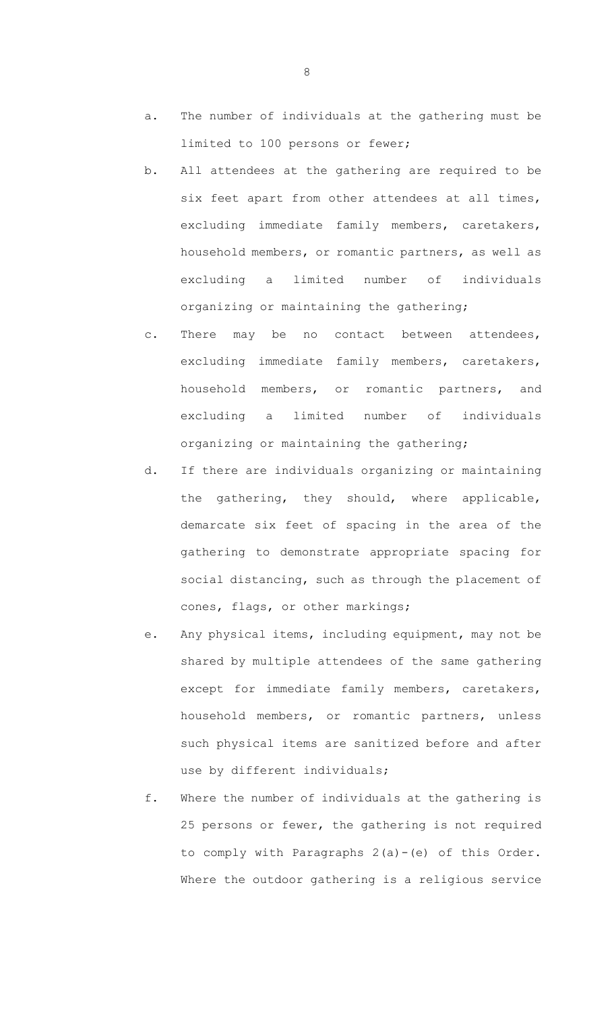- a. The number of individuals at the gathering must be limited to 100 persons or fewer;
- b. All attendees at the gathering are required to be six feet apart from other attendees at all times, excluding immediate family members, caretakers, household members, or romantic partners, as well as excluding a limited number of individuals organizing or maintaining the gathering;
- c. There may be no contact between attendees, excluding immediate family members, caretakers, household members, or romantic partners, and excluding a limited number of individuals organizing or maintaining the gathering;
- d. If there are individuals organizing or maintaining the gathering, they should, where applicable, demarcate six feet of spacing in the area of the gathering to demonstrate appropriate spacing for social distancing, such as through the placement of cones, flags, or other markings;
- e. Any physical items, including equipment, may not be shared by multiple attendees of the same gathering except for immediate family members, caretakers, household members, or romantic partners, unless such physical items are sanitized before and after use by different individuals;
- f. Where the number of individuals at the gathering is 25 persons or fewer, the gathering is not required to comply with Paragraphs 2(a)-(e) of this Order. Where the outdoor gathering is a religious service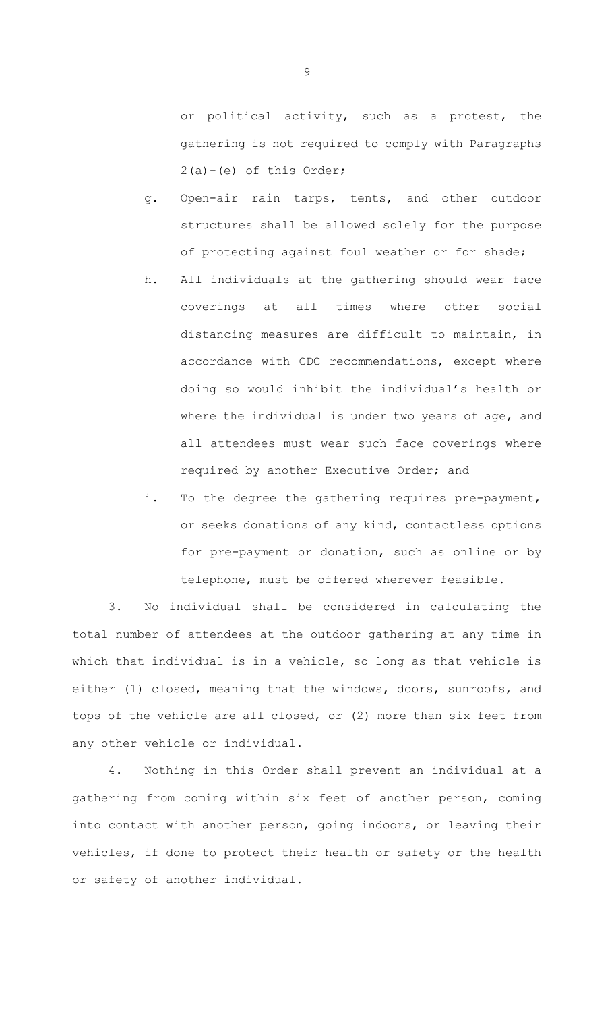or political activity, such as a protest, the gathering is not required to comply with Paragraphs  $2(a)-(e)$  of this Order;

- g. Open-air rain tarps, tents, and other outdoor structures shall be allowed solely for the purpose of protecting against foul weather or for shade;
- h. All individuals at the gathering should wear face coverings at all times where other social distancing measures are difficult to maintain, in accordance with CDC recommendations, except where doing so would inhibit the individual's health or where the individual is under two years of age, and all attendees must wear such face coverings where required by another Executive Order; and
- i. To the degree the gathering requires pre-payment, or seeks donations of any kind, contactless options for pre-payment or donation, such as online or by telephone, must be offered wherever feasible.

3. No individual shall be considered in calculating the total number of attendees at the outdoor gathering at any time in which that individual is in a vehicle, so long as that vehicle is either (1) closed, meaning that the windows, doors, sunroofs, and tops of the vehicle are all closed, or (2) more than six feet from any other vehicle or individual.

4. Nothing in this Order shall prevent an individual at a gathering from coming within six feet of another person, coming into contact with another person, going indoors, or leaving their vehicles, if done to protect their health or safety or the health or safety of another individual.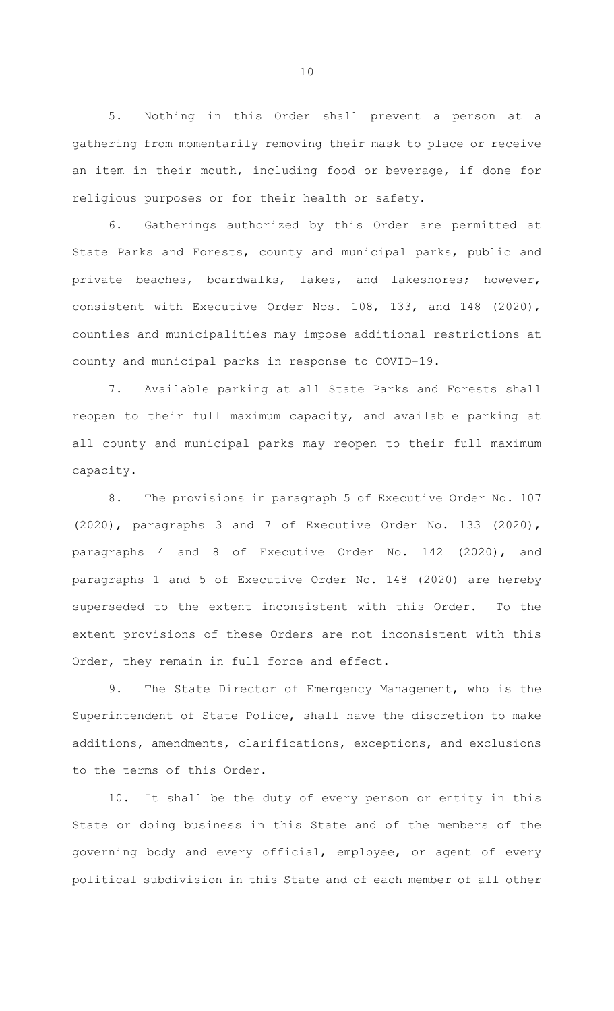5. Nothing in this Order shall prevent a person at a gathering from momentarily removing their mask to place or receive an item in their mouth, including food or beverage, if done for religious purposes or for their health or safety.

6. Gatherings authorized by this Order are permitted at State Parks and Forests, county and municipal parks, public and private beaches, boardwalks, lakes, and lakeshores; however, consistent with Executive Order Nos. 108, 133, and 148 (2020), counties and municipalities may impose additional restrictions at county and municipal parks in response to COVID-19.

7. Available parking at all State Parks and Forests shall reopen to their full maximum capacity, and available parking at all county and municipal parks may reopen to their full maximum capacity.

8. The provisions in paragraph 5 of Executive Order No. 107 (2020), paragraphs 3 and 7 of Executive Order No. 133 (2020), paragraphs 4 and 8 of Executive Order No. 142 (2020), and paragraphs 1 and 5 of Executive Order No. 148 (2020) are hereby superseded to the extent inconsistent with this Order. To the extent provisions of these Orders are not inconsistent with this Order, they remain in full force and effect.

9. The State Director of Emergency Management, who is the Superintendent of State Police, shall have the discretion to make additions, amendments, clarifications, exceptions, and exclusions to the terms of this Order.

10. It shall be the duty of every person or entity in this State or doing business in this State and of the members of the governing body and every official, employee, or agent of every political subdivision in this State and of each member of all other